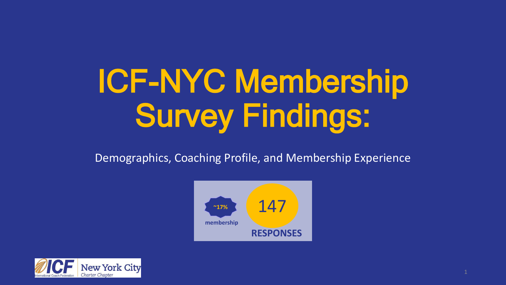# ICF-NYC Membership Survey Findings:

Demographics, Coaching Profile, and Membership Experience



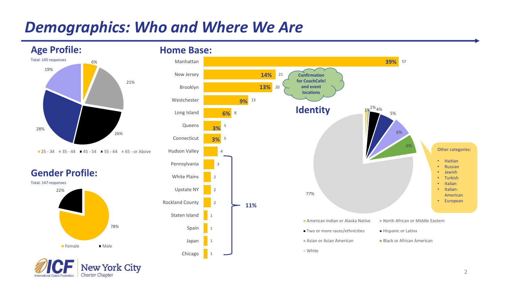### *Demographics: Who and Where We Are*



 $\blacksquare$  25 - 34  $\blacksquare$  35 - 44  $\blacksquare$  45 - 54  $\blacksquare$  55 - 64  $\blacksquare$  65 - or Above







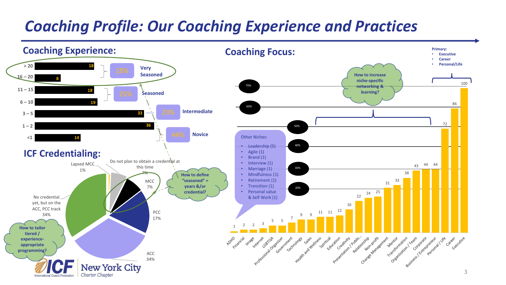# *Coaching Profile: Our Coaching Experience and Practices*

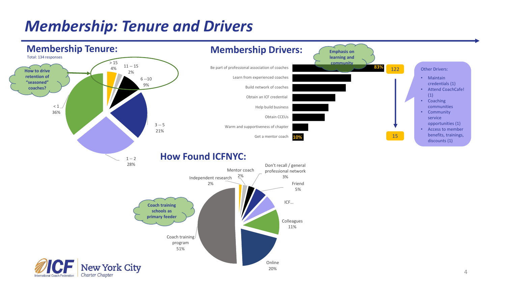# *Membership: Tenure and Drivers*

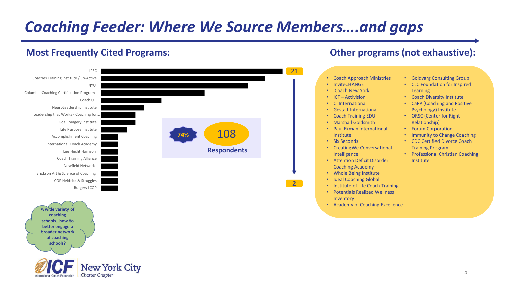# *Coaching Feeder: Where We Source Members….and gaps*

ew York City

Charter Chapter

**schools?**

### **Most Frequently Cited Programs: Other programs (not exhaustive):**



5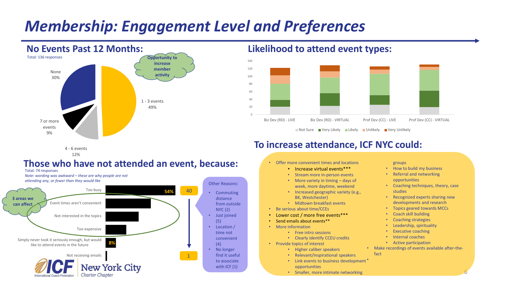### *Membership: Engagement Level and Preferences*



**Likelihood to attend event types:**



### **To increase attendance, ICF NYC could:**

4 - 6 events 12%

### **Those who have not attended an event, because:**





#### • Offer more convenient times and locations

- Increase virtual events\*\*\*
- Stream more in-person events
- More variety in timing days of week, more daytime, weekend
- Increased geographic variety (e.g., BK, Westchester)
- Midtown breakfast events
- Be serious about time/CCEs
- Lower cost / more free events\*\*\*
- Send emails about events\*\*
- More information
	- Free intro sessions
	- Clearly identify CCEU credits
- Provide topics of interest
	- Higher caliber speakers
	- Relevant/inspirational speakers
	- Link events to business development \* opportunities
	- Smaller, more intimate networking

groups

- How to build my business
- Referral and networking opportunities
- Coaching techniques, theory, case studies
- Recognized experts sharing new developments and research
- Topics geared towards MCCs
- Coach skill building
- Coaching strategies
- Leadership, spirituality
- **Executive coaching**
- Internal coaches
- Active participation
- Make recordings of events available after-thefact

6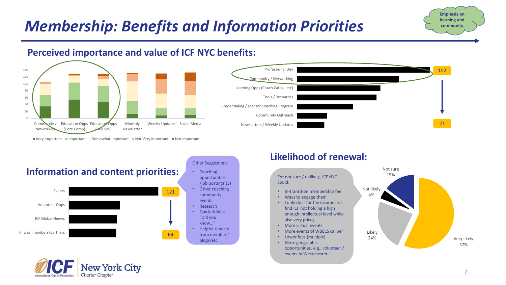# *Membership: Benefits and Information Priorities*

### **Perceived importance and value of ICF NYC benefits:**



■ Very Important ■ Important ■ Somewhat Important ■ Not Very Important ■ Not Important



Info on members/partners

#### opportunities /job postings (3) Other coaching community • Research • Quick tidbits:

64

"Did you know…"

• Helpful reposts from members' blogs/etc

### **Likelihood of renewal:**

For not sure / unlikely, ICF NYC 15% could:

- In-transition membership fee
- Ways to engage them
- I only do it for the insurance. I find ICF not holding a high enough intellectual level while also very pricey
- More virtual events
- More events of WBECS caliber
- Lower fees (multiple)
- More geographic opportunities, e.g., volunteer / events in Westchester





**Emphasis on learning and community**